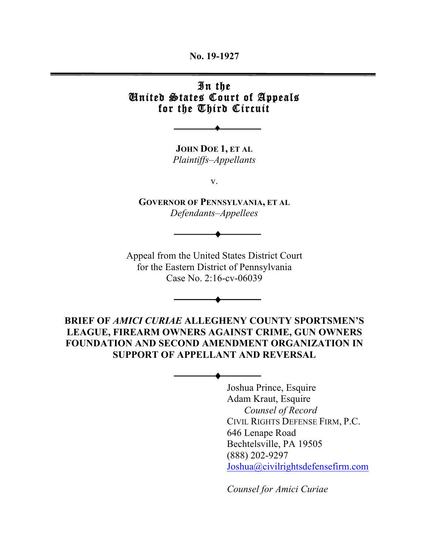**No. 19-1927**

### In the United States Court of Appeals for the Third Circuit

**JOHN DOE 1, ET AL** *Plaintiffs–Appellants*

♦

v.

**GOVERNOR OF PENNSYLVANIA, ET AL** *Defendants–Appellees*

♦

Appeal from the United States District Court for the Eastern District of Pennsylvania Case No. 2:16-cv-06039

**BRIEF OF** *AMICI CURIAE* **ALLEGHENY COUNTY SPORTSMEN'S LEAGUE, FIREARM OWNERS AGAINST CRIME, GUN OWNERS FOUNDATION AND SECOND AMENDMENT ORGANIZATION IN SUPPORT OF APPELLANT AND REVERSAL**

♦

♦

Joshua Prince, Esquire Adam Kraut, Esquire *Counsel of Record* CIVIL RIGHTS DEFENSE FIRM, P.C. 646 Lenape Road Bechtelsville, PA 19505 (888) 202-9297 Joshua@civilrightsdefensefirm.com

*Counsel for Amici Curiae*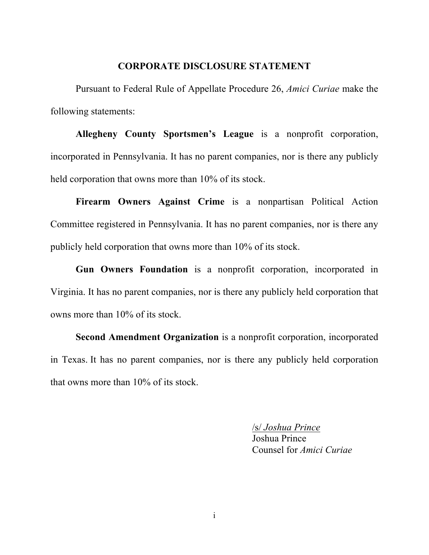#### **CORPORATE DISCLOSURE STATEMENT**

Pursuant to Federal Rule of Appellate Procedure 26, *Amici Curiae* make the following statements:

**Allegheny County Sportsmen's League** is a nonprofit corporation, incorporated in Pennsylvania. It has no parent companies, nor is there any publicly held corporation that owns more than 10% of its stock.

**Firearm Owners Against Crime** is a nonpartisan Political Action Committee registered in Pennsylvania. It has no parent companies, nor is there any publicly held corporation that owns more than 10% of its stock.

**Gun Owners Foundation** is a nonprofit corporation, incorporated in Virginia. It has no parent companies, nor is there any publicly held corporation that owns more than 10% of its stock.

**Second Amendment Organization** is a nonprofit corporation, incorporated in Texas. It has no parent companies, nor is there any publicly held corporation that owns more than 10% of its stock.

> /s/ *Joshua Prince* Joshua Prince Counsel for *Amici Curiae*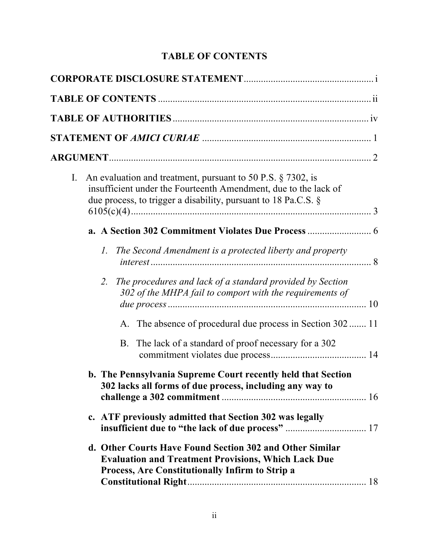## **TABLE OF CONTENTS**

| $I_{\cdot}$ | An evaluation and treatment, pursuant to 50 P.S. § 7302, is<br>insufficient under the Fourteenth Amendment, due to the lack of<br>due process, to trigger a disability, pursuant to 18 Pa.C.S. $\S$ |  |
|-------------|-----------------------------------------------------------------------------------------------------------------------------------------------------------------------------------------------------|--|
|             |                                                                                                                                                                                                     |  |
|             | The Second Amendment is a protected liberty and property<br>Ι.                                                                                                                                      |  |
|             | The procedures and lack of a standard provided by Section<br>2.<br>302 of the MHPA fail to comport with the requirements of                                                                         |  |
|             | A. The absence of procedural due process in Section 302  11                                                                                                                                         |  |
|             | B. The lack of a standard of proof necessary for a 302                                                                                                                                              |  |
|             | b. The Pennsylvania Supreme Court recently held that Section<br>302 lacks all forms of due process, including any way to                                                                            |  |
|             | c. ATF previously admitted that Section 302 was legally                                                                                                                                             |  |
|             | d. Other Courts Have Found Section 302 and Other Similar<br><b>Evaluation and Treatment Provisions, Which Lack Due</b><br>Process, Are Constitutionally Infirm to Strip a                           |  |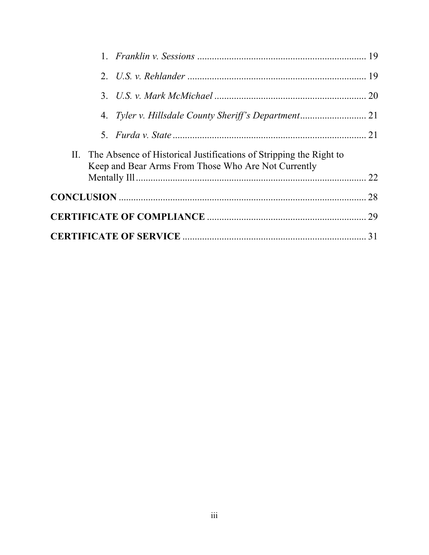|  |  | II. The Absence of Historical Justifications of Stripping the Right to<br>Keep and Bear Arms From Those Who Are Not Currently |    |
|--|--|-------------------------------------------------------------------------------------------------------------------------------|----|
|  |  |                                                                                                                               |    |
|  |  |                                                                                                                               |    |
|  |  |                                                                                                                               |    |
|  |  |                                                                                                                               | 31 |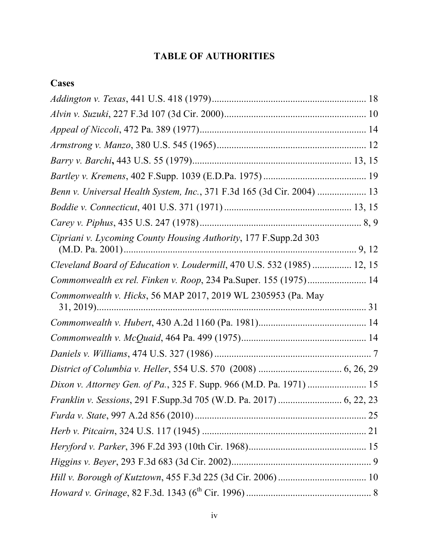## **TABLE OF AUTHORITIES**

## **Cases**

| Benn v. Universal Health System, Inc., 371 F.3d 165 (3d Cir. 2004)  13  |  |
|-------------------------------------------------------------------------|--|
|                                                                         |  |
|                                                                         |  |
| Cipriani v. Lycoming County Housing Authority, 177 F. Supp.2d 303       |  |
| Cleveland Board of Education v. Loudermill, 470 U.S. 532 (1985)  12, 15 |  |
| Commonwealth ex rel. Finken v. Roop, 234 Pa.Super. 155 (1975) 14        |  |
| Commonwealth v. Hicks, 56 MAP 2017, 2019 WL 2305953 (Pa. May            |  |
|                                                                         |  |
|                                                                         |  |
|                                                                         |  |
|                                                                         |  |
| Dixon v. Attorney Gen. of Pa., 325 F. Supp. 966 (M.D. Pa. 1971)  15     |  |
| Franklin v. Sessions, 291 F.Supp.3d 705 (W.D. Pa. 2017)  6, 22, 23      |  |
|                                                                         |  |
|                                                                         |  |
|                                                                         |  |
|                                                                         |  |
|                                                                         |  |
|                                                                         |  |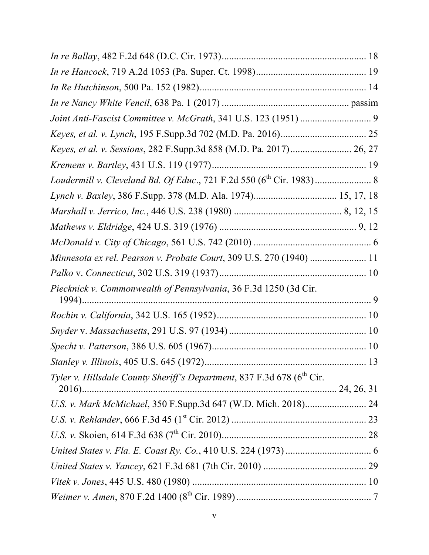| Keyes, et al. v. Sessions, 282 F.Supp.3d 858 (M.D. Pa. 2017) 26, 27                |  |
|------------------------------------------------------------------------------------|--|
|                                                                                    |  |
|                                                                                    |  |
|                                                                                    |  |
|                                                                                    |  |
|                                                                                    |  |
|                                                                                    |  |
| Minnesota ex rel. Pearson v. Probate Court, 309 U.S. 270 (1940)  11                |  |
|                                                                                    |  |
| Piecknick v. Commonwealth of Pennsylvania, 36 F.3d 1250 (3d Cir.                   |  |
|                                                                                    |  |
|                                                                                    |  |
|                                                                                    |  |
|                                                                                    |  |
| Tyler v. Hillsdale County Sheriff's Department, 837 F.3d 678 (6 <sup>th</sup> Cir. |  |
|                                                                                    |  |
|                                                                                    |  |
|                                                                                    |  |
|                                                                                    |  |
|                                                                                    |  |
|                                                                                    |  |
|                                                                                    |  |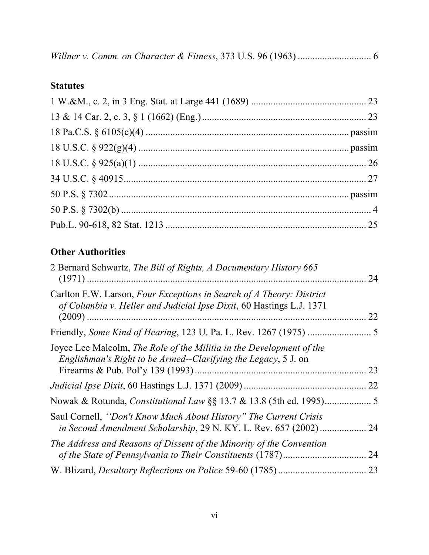|--|--|--|--|--|--|--|--|

### **Statutes**

# **Other Authorities**

| 2 Bernard Schwartz, The Bill of Rights, A Documentary History 665<br>$(1971)$ .                                                                                            | 24 |
|----------------------------------------------------------------------------------------------------------------------------------------------------------------------------|----|
| Carlton F.W. Larson, Four Exceptions in Search of A Theory: District<br>of Columbia v. Heller and Judicial Ipse Dixit, 60 Hastings L.J. 1371<br>$(2009)$                   | 22 |
| Friendly, Some Kind of Hearing, 123 U. Pa. L. Rev. 1267 (1975)                                                                                                             | -5 |
| Joyce Lee Malcolm, The Role of the Militia in the Development of the<br>Englishman's Right to be Armed--Clarifying the Legacy, 5 J. on<br>Firearms & Pub. Pol'y 139 (1993) | 23 |
|                                                                                                                                                                            | 22 |
| Nowak & Rotunda, <i>Constitutional Law</i> §§ 13.7 & 13.8 (5th ed. 1995)                                                                                                   | 5  |
| Saul Cornell, "Don't Know Much About History" The Current Crisis<br>in Second Amendment Scholarship, 29 N. KY. L. Rev. 657 (2002)                                          | 24 |
| The Address and Reasons of Dissent of the Minority of the Convention                                                                                                       | 24 |
| W. Blizard, <i>Desultory Reflections on Police</i> 59-60 (1785)                                                                                                            | 23 |
|                                                                                                                                                                            |    |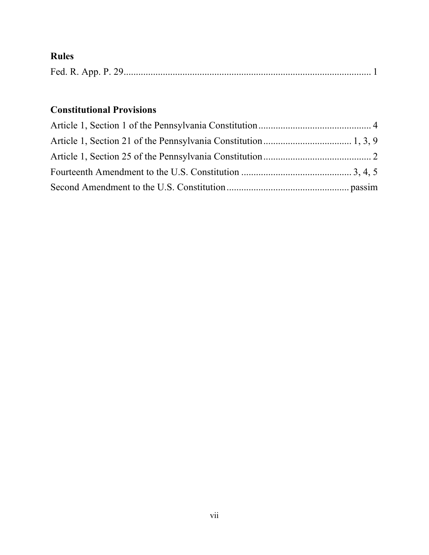# **Rules**

|--|--|--|

## **Constitutional Provisions**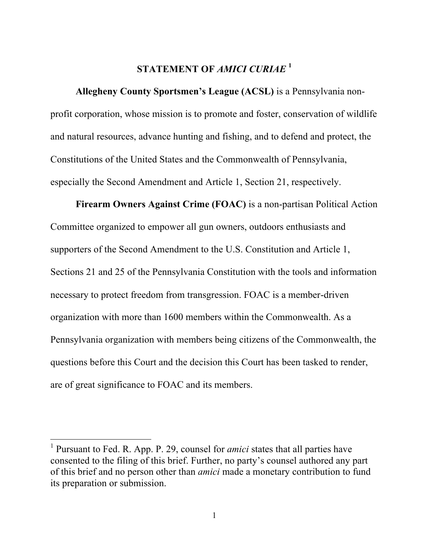### **STATEMENT OF** *AMICI CURIAE* **<sup>1</sup>**

**Allegheny County Sportsmen's League (ACSL)** is a Pennsylvania nonprofit corporation, whose mission is to promote and foster, conservation of wildlife and natural resources, advance hunting and fishing, and to defend and protect, the Constitutions of the United States and the Commonwealth of Pennsylvania, especially the Second Amendment and Article 1, Section 21, respectively.

**Firearm Owners Against Crime (FOAC)** is a non-partisan Political Action Committee organized to empower all gun owners, outdoors enthusiasts and supporters of the Second Amendment to the U.S. Constitution and Article 1, Sections 21 and 25 of the Pennsylvania Constitution with the tools and information necessary to protect freedom from transgression. FOAC is a member-driven organization with more than 1600 members within the Commonwealth. As a Pennsylvania organization with members being citizens of the Commonwealth, the questions before this Court and the decision this Court has been tasked to render, are of great significance to FOAC and its members.

 <sup>1</sup> Pursuant to Fed. R. App. P. 29, counsel for *amici* states that all parties have consented to the filing of this brief. Further, no party's counsel authored any part of this brief and no person other than *amici* made a monetary contribution to fund its preparation or submission.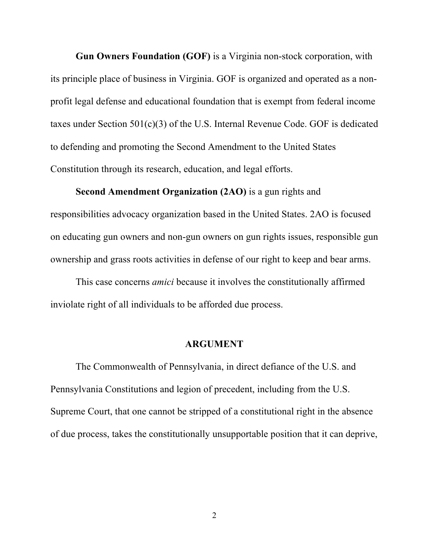**Gun Owners Foundation (GOF)** is a Virginia non-stock corporation, with its principle place of business in Virginia. GOF is organized and operated as a nonprofit legal defense and educational foundation that is exempt from federal income taxes under Section 501(c)(3) of the U.S. Internal Revenue Code. GOF is dedicated to defending and promoting the Second Amendment to the United States Constitution through its research, education, and legal efforts.

**Second Amendment Organization (2AO)** is a gun rights and responsibilities advocacy organization based in the United States. 2AO is focused on educating gun owners and non-gun owners on gun rights issues, responsible gun ownership and grass roots activities in defense of our right to keep and bear arms.

This case concerns *amici* because it involves the constitutionally affirmed inviolate right of all individuals to be afforded due process.

#### **ARGUMENT**

The Commonwealth of Pennsylvania, in direct defiance of the U.S. and Pennsylvania Constitutions and legion of precedent, including from the U.S. Supreme Court, that one cannot be stripped of a constitutional right in the absence of due process, takes the constitutionally unsupportable position that it can deprive,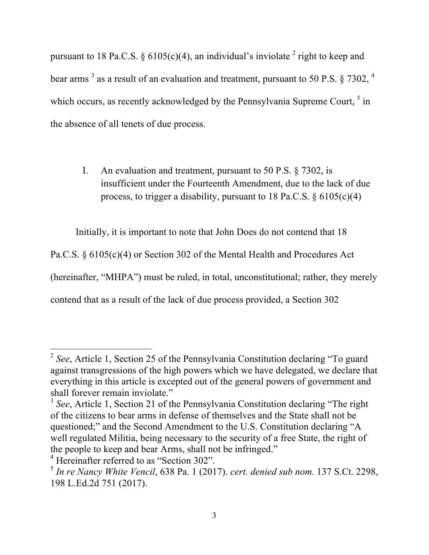pursuant to 18 Pa.C.S. § 6105(c)(4), an individual's inviolate  $2$  right to keep and bear arms  $3$  as a result of an evaluation and treatment, pursuant to 50 P.S.  $\frac{25}{302}$ ,  $\frac{4}{10}$ which occurs, as recently acknowledged by the Pennsylvania Supreme Court, <sup>5</sup> in the absence of all tenets of due process.

I. An evaluation and treatment, pursuant to 50 P.S. § 7302, is insufficient under the Fourteenth Amendment, due to the lack of due process, to trigger a disability, pursuant to 18 Pa.C.S.  $\S 6105(c)(4)$ 

Initially, it is important to note that John Does do not contend that 18

Pa.C.S. § 6105(c)(4) or Section 302 of the Mental Health and Procedures Act

(hereinafter, "MHPA") must be ruled, in total, unconstitutional; rather, they merely

contend that as a result of the lack of due process provided, a Section 302

 <sup>2</sup> *See*, Article 1, Section 25 of the Pennsylvania Constitution declaring "To guard against transgressions of the high powers which we have delegated, we declare that everything in this article is excepted out of the general powers of government and shall forever remain inviolate."

<sup>&</sup>lt;sup>3</sup> See, Article 1, Section 21 of the Pennsylvania Constitution declaring "The right" of the citizens to bear arms in defense of themselves and the State shall not be questioned;" and the Second Amendment to the U.S. Constitution declaring "A well regulated Militia, being necessary to the security of a free State, the right of the people to keep and bear Arms, shall not be infringed."

<sup>&</sup>lt;sup>4</sup> Hereinafter referred to as "Section 302".

<sup>5</sup> *In re Nancy White Vencil*, 638 Pa. 1 (2017). *cert. denied sub nom.* 137 S.Ct. 2298, 198 L.Ed.2d 751 (2017).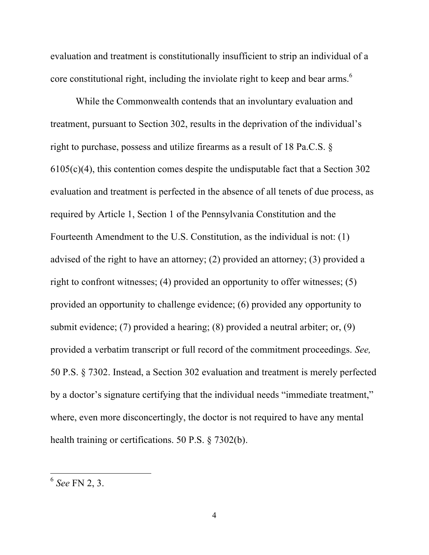evaluation and treatment is constitutionally insufficient to strip an individual of a core constitutional right, including the inviolate right to keep and bear arms.<sup>6</sup>

While the Commonwealth contends that an involuntary evaluation and treatment, pursuant to Section 302, results in the deprivation of the individual's right to purchase, possess and utilize firearms as a result of 18 Pa.C.S. § 6105(c)(4), this contention comes despite the undisputable fact that a Section 302 evaluation and treatment is perfected in the absence of all tenets of due process, as required by Article 1, Section 1 of the Pennsylvania Constitution and the Fourteenth Amendment to the U.S. Constitution, as the individual is not: (1) advised of the right to have an attorney; (2) provided an attorney; (3) provided a right to confront witnesses; (4) provided an opportunity to offer witnesses; (5) provided an opportunity to challenge evidence; (6) provided any opportunity to submit evidence; (7) provided a hearing; (8) provided a neutral arbiter; or, (9) provided a verbatim transcript or full record of the commitment proceedings. *See,* 50 P.S. § 7302. Instead, a Section 302 evaluation and treatment is merely perfected by a doctor's signature certifying that the individual needs "immediate treatment," where, even more disconcertingly, the doctor is not required to have any mental health training or certifications. 50 P.S. § 7302(b).

 <sup>6</sup> *See* FN 2, 3.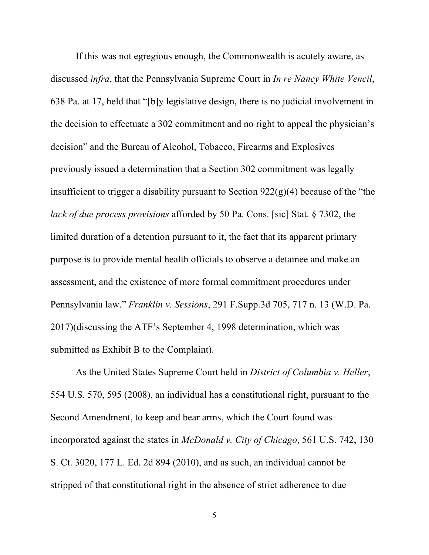If this was not egregious enough, the Commonwealth is acutely aware, as discussed *infra*, that the Pennsylvania Supreme Court in *In re Nancy White Vencil*, 638 Pa. at 17, held that "[b]y legislative design, there is no judicial involvement in the decision to effectuate a 302 commitment and no right to appeal the physician's decision" and the Bureau of Alcohol, Tobacco, Firearms and Explosives previously issued a determination that a Section 302 commitment was legally insufficient to trigger a disability pursuant to Section  $922(g)(4)$  because of the "the *lack of due process provisions* afforded by 50 Pa. Cons. [sic] Stat. § 7302, the limited duration of a detention pursuant to it, the fact that its apparent primary purpose is to provide mental health officials to observe a detainee and make an assessment, and the existence of more formal commitment procedures under Pennsylvania law." *Franklin v. Sessions*, 291 F.Supp.3d 705, 717 n. 13 (W.D. Pa. 2017)(discussing the ATF's September 4, 1998 determination, which was submitted as Exhibit B to the Complaint).

As the United States Supreme Court held in *District of Columbia v. Heller*, 554 U.S. 570, 595 (2008), an individual has a constitutional right, pursuant to the Second Amendment, to keep and bear arms, which the Court found was incorporated against the states in *McDonald v. City of Chicago*, 561 U.S. 742, 130 S. Ct. 3020, 177 L. Ed. 2d 894 (2010), and as such, an individual cannot be stripped of that constitutional right in the absence of strict adherence to due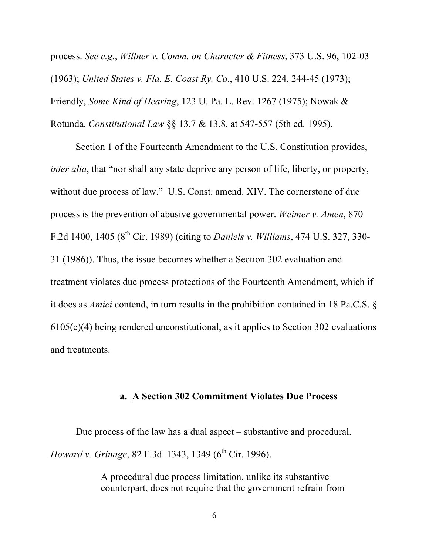process. *See e.g.*, *Willner v. Comm. on Character & Fitness*, 373 U.S. 96, 102-03 (1963); *United States v. Fla. E. Coast Ry. Co.*, 410 U.S. 224, 244-45 (1973); Friendly, *Some Kind of Hearing*, 123 U. Pa. L. Rev. 1267 (1975); Nowak & Rotunda, *Constitutional Law* §§ 13.7 & 13.8, at 547-557 (5th ed. 1995).

Section 1 of the Fourteenth Amendment to the U.S. Constitution provides, *inter alia*, that "nor shall any state deprive any person of life, liberty, or property, without due process of law." U.S. Const. amend. XIV. The cornerstone of due process is the prevention of abusive governmental power. *Weimer v. Amen*, 870 F.2d 1400, 1405 (8th Cir. 1989) (citing to *Daniels v. Williams*, 474 U.S. 327, 330- 31 (1986)). Thus, the issue becomes whether a Section 302 evaluation and treatment violates due process protections of the Fourteenth Amendment, which if it does as *Amici* contend, in turn results in the prohibition contained in 18 Pa.C.S. § 6105(c)(4) being rendered unconstitutional, as it applies to Section 302 evaluations and treatments.

#### **a. A Section 302 Commitment Violates Due Process**

Due process of the law has a dual aspect – substantive and procedural. *Howard v. Grinage, 82 F.3d. 1343, 1349 (6<sup>th</sup> Cir. 1996).* 

> A procedural due process limitation, unlike its substantive counterpart, does not require that the government refrain from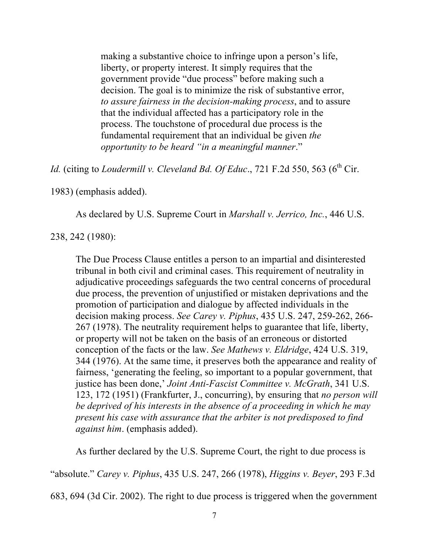making a substantive choice to infringe upon a person's life, liberty, or property interest. It simply requires that the government provide "due process" before making such a decision. The goal is to minimize the risk of substantive error, *to assure fairness in the decision-making process*, and to assure that the individual affected has a participatory role in the process. The touchstone of procedural due process is the fundamental requirement that an individual be given *the opportunity to be heard "in a meaningful manner*."

*Id.* (citing to *Loudermill v. Cleveland Bd. Of Educ.*, 721 F.2d 550, 563 (6<sup>th</sup> Cir.

1983) (emphasis added).

As declared by U.S. Supreme Court in *Marshall v. Jerrico, Inc.*, 446 U.S.

238, 242 (1980):

The Due Process Clause entitles a person to an impartial and disinterested tribunal in both civil and criminal cases. This requirement of neutrality in adjudicative proceedings safeguards the two central concerns of procedural due process, the prevention of unjustified or mistaken deprivations and the promotion of participation and dialogue by affected individuals in the decision making process. *See Carey v. Piphus*, 435 U.S. 247, 259-262, 266- 267 (1978). The neutrality requirement helps to guarantee that life, liberty, or property will not be taken on the basis of an erroneous or distorted conception of the facts or the law. *See Mathews v. Eldridge*, 424 U.S. 319, 344 (1976). At the same time, it preserves both the appearance and reality of fairness, 'generating the feeling, so important to a popular government, that justice has been done,' *Joint Anti-Fascist Committee v. McGrath*, 341 U.S. 123, 172 (1951) (Frankfurter, J., concurring), by ensuring that *no person will be deprived of his interests in the absence of a proceeding in which he may present his case with assurance that the arbiter is not predisposed to find against him*. (emphasis added).

As further declared by the U.S. Supreme Court, the right to due process is

"absolute." *Carey v. Piphus*, 435 U.S. 247, 266 (1978), *Higgins v. Beyer*, 293 F.3d

683, 694 (3d Cir. 2002). The right to due process is triggered when the government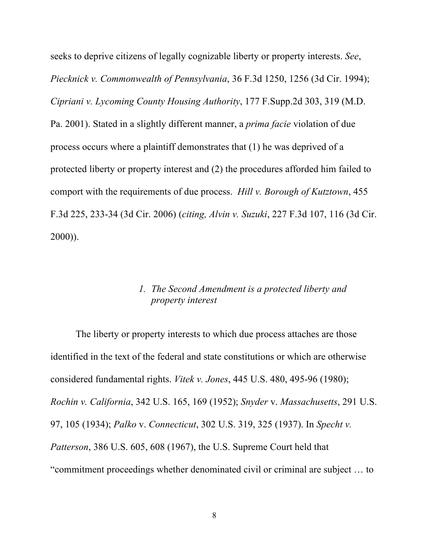seeks to deprive citizens of legally cognizable liberty or property interests. *See*, *Piecknick v. Commonwealth of Pennsylvania*, 36 F.3d 1250, 1256 (3d Cir. 1994); *Cipriani v. Lycoming County Housing Authority*, 177 F.Supp.2d 303, 319 (M.D. Pa. 2001). Stated in a slightly different manner, a *prima facie* violation of due process occurs where a plaintiff demonstrates that (1) he was deprived of a protected liberty or property interest and (2) the procedures afforded him failed to comport with the requirements of due process. *Hill v. Borough of Kutztown*, 455 F.3d 225, 233-34 (3d Cir. 2006) (*citing, Alvin v. Suzuki*, 227 F.3d 107, 116 (3d Cir. 2000)).

#### *1. The Second Amendment is a protected liberty and property interest*

The liberty or property interests to which due process attaches are those identified in the text of the federal and state constitutions or which are otherwise considered fundamental rights. *Vitek v. Jones*, 445 U.S. 480, 495-96 (1980); *Rochin v. California*, 342 U.S. 165, 169 (1952); *Snyder* v. *Massachusetts*, 291 U.S. 97, 105 (1934); *Palko* v. *Connecticut*, 302 U.S. 319, 325 (1937). In *Specht v. Patterson*, 386 U.S. 605, 608 (1967), the U.S. Supreme Court held that "commitment proceedings whether denominated civil or criminal are subject … to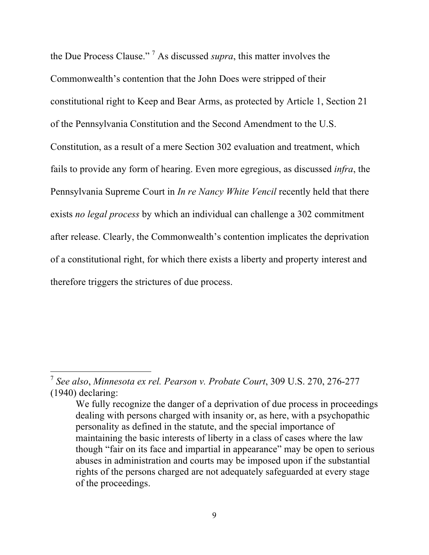the Due Process Clause." 7 As discussed *supra*, this matter involves the Commonwealth's contention that the John Does were stripped of their constitutional right to Keep and Bear Arms, as protected by Article 1, Section 21 of the Pennsylvania Constitution and the Second Amendment to the U.S. Constitution, as a result of a mere Section 302 evaluation and treatment, which fails to provide any form of hearing. Even more egregious, as discussed *infra*, the Pennsylvania Supreme Court in *In re Nancy White Vencil* recently held that there exists *no legal process* by which an individual can challenge a 302 commitment after release. Clearly, the Commonwealth's contention implicates the deprivation of a constitutional right, for which there exists a liberty and property interest and therefore triggers the strictures of due process.

 <sup>7</sup> *See also*, *Minnesota ex rel. Pearson v. Probate Court*, 309 U.S. 270, 276-277 (1940) declaring:

We fully recognize the danger of a deprivation of due process in proceedings dealing with persons charged with insanity or, as here, with a psychopathic personality as defined in the statute, and the special importance of maintaining the basic interests of liberty in a class of cases where the law though "fair on its face and impartial in appearance" may be open to serious abuses in administration and courts may be imposed upon if the substantial rights of the persons charged are not adequately safeguarded at every stage of the proceedings.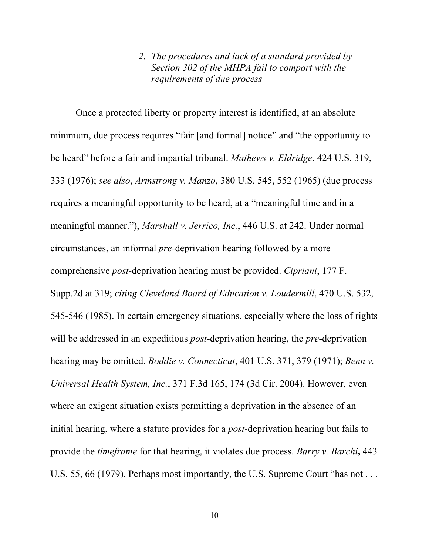#### *2. The procedures and lack of a standard provided by Section 302 of the MHPA fail to comport with the requirements of due process*

Once a protected liberty or property interest is identified, at an absolute minimum, due process requires "fair [and formal] notice" and "the opportunity to be heard" before a fair and impartial tribunal. *Mathews v. Eldridge*, 424 U.S. 319, 333 (1976); *see also*, *Armstrong v. Manzo*, 380 U.S. 545, 552 (1965) (due process requires a meaningful opportunity to be heard, at a "meaningful time and in a meaningful manner."), *Marshall v. Jerrico, Inc.*, 446 U.S. at 242. Under normal circumstances, an informal *pre*-deprivation hearing followed by a more comprehensive *post*-deprivation hearing must be provided. *Cipriani*, 177 F. Supp.2d at 319; *citing Cleveland Board of Education v. Loudermill*, 470 U.S. 532, 545-546 (1985). In certain emergency situations, especially where the loss of rights will be addressed in an expeditious *post*-deprivation hearing, the *pre*-deprivation hearing may be omitted. *Boddie v. Connecticut*, 401 U.S. 371, 379 (1971); *Benn v. Universal Health System, Inc.*, 371 F.3d 165, 174 (3d Cir. 2004). However, even where an exigent situation exists permitting a deprivation in the absence of an initial hearing, where a statute provides for a *post*-deprivation hearing but fails to provide the *timeframe* for that hearing, it violates due process. *Barry v. Barchi***,** 443 U.S. 55, 66 (1979). Perhaps most importantly, the U.S. Supreme Court "has not . . .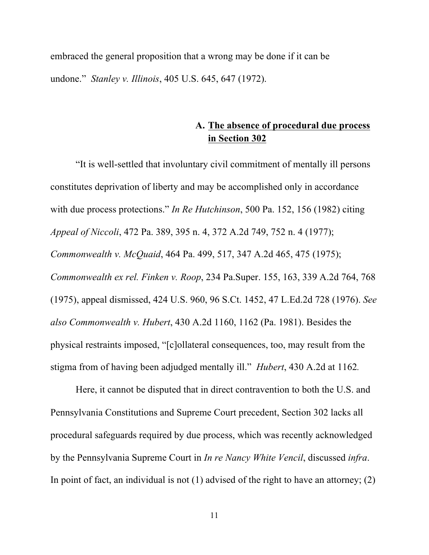embraced the general proposition that a wrong may be done if it can be undone." *Stanley v. Illinois*, 405 U.S. 645, 647 (1972).

### **A. The absence of procedural due process in Section 302**

"It is well-settled that involuntary civil commitment of mentally ill persons constitutes deprivation of liberty and may be accomplished only in accordance with due process protections." *In Re Hutchinson*, 500 Pa. 152, 156 (1982) citing *Appeal of Niccoli*, 472 Pa. 389, 395 n. 4, 372 A.2d 749, 752 n. 4 (1977); *Commonwealth v. McQuaid*, 464 Pa. 499, 517, 347 A.2d 465, 475 (1975); *Commonwealth ex rel. Finken v. Roop*, 234 Pa.Super. 155, 163, 339 A.2d 764, 768 (1975), appeal dismissed, 424 U.S. 960, 96 S.Ct. 1452, 47 L.Ed.2d 728 (1976). *See also Commonwealth v. Hubert*, 430 A.2d 1160, 1162 (Pa. 1981). Besides the physical restraints imposed, "[c]ollateral consequences, too, may result from the stigma from of having been adjudged mentally ill." *Hubert*, 430 A.2d at 1162*.*

Here, it cannot be disputed that in direct contravention to both the U.S. and Pennsylvania Constitutions and Supreme Court precedent, Section 302 lacks all procedural safeguards required by due process, which was recently acknowledged by the Pennsylvania Supreme Court in *In re Nancy White Vencil*, discussed *infra*. In point of fact, an individual is not  $(1)$  advised of the right to have an attorney;  $(2)$ 

11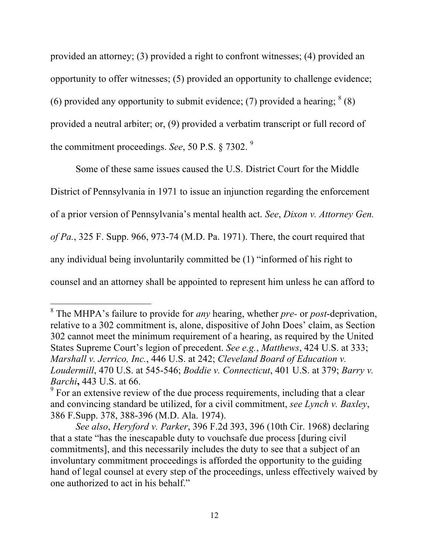provided an attorney; (3) provided a right to confront witnesses; (4) provided an opportunity to offer witnesses; (5) provided an opportunity to challenge evidence; (6) provided any opportunity to submit evidence; (7) provided a hearing;  $8(8)$ provided a neutral arbiter; or, (9) provided a verbatim transcript or full record of the commitment proceedings. *See*, 50 P.S. § 7302. <sup>9</sup>

Some of these same issues caused the U.S. District Court for the Middle District of Pennsylvania in 1971 to issue an injunction regarding the enforcement of a prior version of Pennsylvania's mental health act. *See*, *Dixon v. Attorney Gen. of Pa.*, 325 F. Supp. 966, 973-74 (M.D. Pa. 1971). There, the court required that any individual being involuntarily committed be (1) "informed of his right to counsel and an attorney shall be appointed to represent him unless he can afford to

 <sup>8</sup> The MHPA's failure to provide for *any* hearing, whether *pre-* or *post*-deprivation, relative to a 302 commitment is, alone, dispositive of John Does' claim, as Section 302 cannot meet the minimum requirement of a hearing, as required by the United States Supreme Court's legion of precedent. *See e.g.*, *Matthews*, 424 U.S. at 333; *Marshall v. Jerrico, Inc.*, 446 U.S. at 242; *Cleveland Board of Education v. Loudermill*, 470 U.S. at 545-546; *Boddie v. Connecticut*, 401 U.S. at 379; *Barry v.* 

*Barchi*, 443 U.S. at 66. *9* For an extensive review of the due process requirements, including that a clear and convincing standard be utilized, for a civil commitment, *see Lynch v. Baxley*, 386 F.Supp. 378, 388-396 (M.D. Ala. 1974).

*See also*, *Heryford v. Parker*, 396 F.2d 393, 396 (10th Cir. 1968) declaring that a state "has the inescapable duty to vouchsafe due process [during civil commitments], and this necessarily includes the duty to see that a subject of an involuntary commitment proceedings is afforded the opportunity to the guiding hand of legal counsel at every step of the proceedings, unless effectively waived by one authorized to act in his behalf."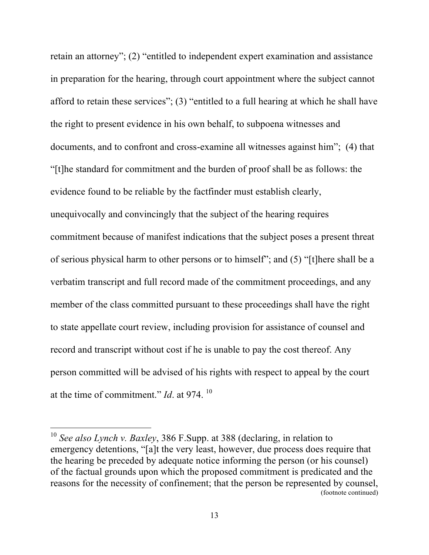retain an attorney"; (2) "entitled to independent expert examination and assistance in preparation for the hearing, through court appointment where the subject cannot afford to retain these services"; (3) "entitled to a full hearing at which he shall have the right to present evidence in his own behalf, to subpoena witnesses and documents, and to confront and cross-examine all witnesses against him"; (4) that "[t]he standard for commitment and the burden of proof shall be as follows: the evidence found to be reliable by the factfinder must establish clearly, unequivocally and convincingly that the subject of the hearing requires commitment because of manifest indications that the subject poses a present threat of serious physical harm to other persons or to himself"; and (5) "[t]here shall be a verbatim transcript and full record made of the commitment proceedings, and any member of the class committed pursuant to these proceedings shall have the right to state appellate court review, including provision for assistance of counsel and record and transcript without cost if he is unable to pay the cost thereof. Any person committed will be advised of his rights with respect to appeal by the court at the time of commitment." *Id*. at 974. <sup>10</sup>

 <sup>10</sup> *See also Lynch v. Baxley*, 386 F.Supp. at 388 (declaring, in relation to emergency detentions, "[a]t the very least, however, due process does require that the hearing be preceded by adequate notice informing the person (or his counsel) of the factual grounds upon which the proposed commitment is predicated and the reasons for the necessity of confinement; that the person be represented by counsel, (footnote continued)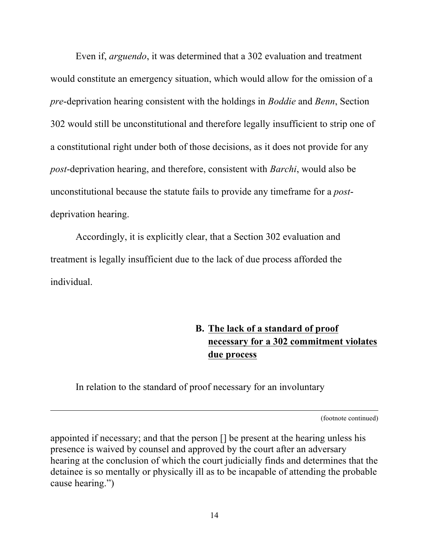Even if, *arguendo*, it was determined that a 302 evaluation and treatment would constitute an emergency situation, which would allow for the omission of a *pre*-deprivation hearing consistent with the holdings in *Boddie* and *Benn*, Section 302 would still be unconstitutional and therefore legally insufficient to strip one of a constitutional right under both of those decisions, as it does not provide for any *post*-deprivation hearing, and therefore, consistent with *Barchi*, would also be unconstitutional because the statute fails to provide any timeframe for a *post*deprivation hearing.

Accordingly, it is explicitly clear, that a Section 302 evaluation and treatment is legally insufficient due to the lack of due process afforded the individual.

## **B. The lack of a standard of proof necessary for a 302 commitment violates due process**

In relation to the standard of proof necessary for an involuntary

 $\overline{a}$ 

(footnote continued)

appointed if necessary; and that the person [] be present at the hearing unless his presence is waived by counsel and approved by the court after an adversary hearing at the conclusion of which the court judicially finds and determines that the detainee is so mentally or physically ill as to be incapable of attending the probable cause hearing.")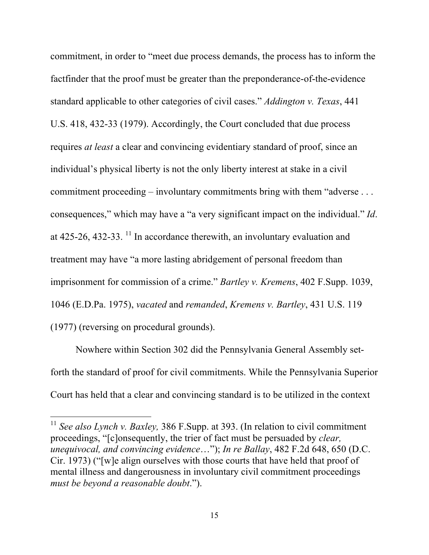commitment, in order to "meet due process demands, the process has to inform the factfinder that the proof must be greater than the preponderance-of-the-evidence standard applicable to other categories of civil cases." *Addington v. Texas*, 441 U.S. 418, 432-33 (1979). Accordingly, the Court concluded that due process requires *at least* a clear and convincing evidentiary standard of proof, since an individual's physical liberty is not the only liberty interest at stake in a civil commitment proceeding – involuntary commitments bring with them "adverse . . . consequences," which may have a "a very significant impact on the individual." *Id*. at  $425-26$ ,  $432-33$ . <sup>11</sup> In accordance therewith, an involuntary evaluation and treatment may have "a more lasting abridgement of personal freedom than imprisonment for commission of a crime." *Bartley v. Kremens*, 402 F.Supp. 1039, 1046 (E.D.Pa. 1975), *vacated* and *remanded*, *Kremens v. Bartley*, 431 U.S. 119 (1977) (reversing on procedural grounds).

Nowhere within Section 302 did the Pennsylvania General Assembly setforth the standard of proof for civil commitments. While the Pennsylvania Superior Court has held that a clear and convincing standard is to be utilized in the context

<sup>&</sup>lt;sup>11</sup> See also *Lynch v. Baxley*, 386 F. Supp. at 393. (In relation to civil commitment proceedings, "[c]onsequently, the trier of fact must be persuaded by *clear, unequivocal, and convincing evidence*…"); *In re Ballay*, 482 F.2d 648, 650 (D.C. Cir. 1973) ("[w]e align ourselves with those courts that have held that proof of mental illness and dangerousness in involuntary civil commitment proceedings *must be beyond a reasonable doubt*.").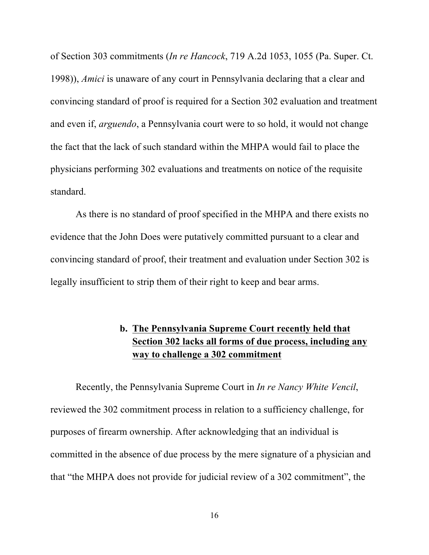of Section 303 commitments (*In re Hancock*, 719 A.2d 1053, 1055 (Pa. Super. Ct. 1998)), *Amici* is unaware of any court in Pennsylvania declaring that a clear and convincing standard of proof is required for a Section 302 evaluation and treatment and even if, *arguendo*, a Pennsylvania court were to so hold, it would not change the fact that the lack of such standard within the MHPA would fail to place the physicians performing 302 evaluations and treatments on notice of the requisite standard.

As there is no standard of proof specified in the MHPA and there exists no evidence that the John Does were putatively committed pursuant to a clear and convincing standard of proof, their treatment and evaluation under Section 302 is legally insufficient to strip them of their right to keep and bear arms.

## **b. The Pennsylvania Supreme Court recently held that Section 302 lacks all forms of due process, including any way to challenge a 302 commitment**

Recently, the Pennsylvania Supreme Court in *In re Nancy White Vencil*, reviewed the 302 commitment process in relation to a sufficiency challenge, for purposes of firearm ownership. After acknowledging that an individual is committed in the absence of due process by the mere signature of a physician and that "the MHPA does not provide for judicial review of a 302 commitment", the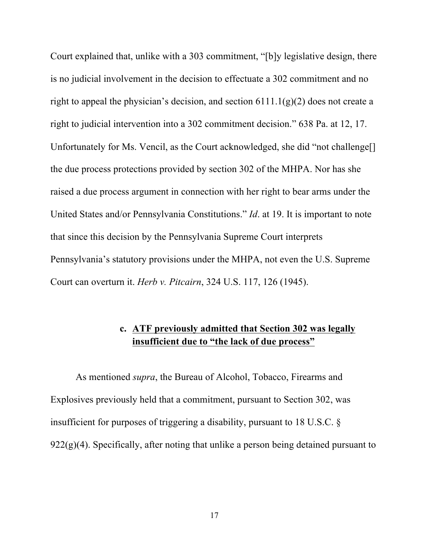Court explained that, unlike with a 303 commitment, "[b]y legislative design, there is no judicial involvement in the decision to effectuate a 302 commitment and no right to appeal the physician's decision, and section  $6111.1(g)(2)$  does not create a right to judicial intervention into a 302 commitment decision." 638 Pa. at 12, 17. Unfortunately for Ms. Vencil, as the Court acknowledged, she did "not challenge[] the due process protections provided by section 302 of the MHPA. Nor has she raised a due process argument in connection with her right to bear arms under the United States and/or Pennsylvania Constitutions." *Id*. at 19. It is important to note that since this decision by the Pennsylvania Supreme Court interprets Pennsylvania's statutory provisions under the MHPA, not even the U.S. Supreme Court can overturn it. *Herb v. Pitcairn*, 324 U.S. 117, 126 (1945).

## **c. ATF previously admitted that Section 302 was legally insufficient due to "the lack of due process"**

As mentioned *supra*, the Bureau of Alcohol, Tobacco, Firearms and Explosives previously held that a commitment, pursuant to Section 302, was insufficient for purposes of triggering a disability, pursuant to 18 U.S.C. §  $922(g)(4)$ . Specifically, after noting that unlike a person being detained pursuant to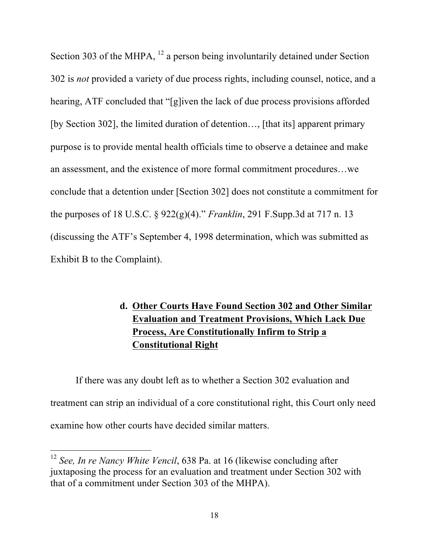Section 303 of the MHPA, <sup>12</sup> a person being involuntarily detained under Section 302 is *not* provided a variety of due process rights, including counsel, notice, and a hearing, ATF concluded that "[g]iven the lack of due process provisions afforded [by Section 302], the limited duration of detention…, [that its] apparent primary purpose is to provide mental health officials time to observe a detainee and make an assessment, and the existence of more formal commitment procedures…we conclude that a detention under [Section 302] does not constitute a commitment for the purposes of 18 U.S.C. § 922(g)(4)." *Franklin*, 291 F.Supp.3d at 717 n. 13 (discussing the ATF's September 4, 1998 determination, which was submitted as Exhibit B to the Complaint).

## **d. Other Courts Have Found Section 302 and Other Similar Evaluation and Treatment Provisions, Which Lack Due Process, Are Constitutionally Infirm to Strip a Constitutional Right**

If there was any doubt left as to whether a Section 302 evaluation and treatment can strip an individual of a core constitutional right, this Court only need examine how other courts have decided similar matters.

 <sup>12</sup> *See, In re Nancy White Vencil*, 638 Pa. at 16 (likewise concluding after juxtaposing the process for an evaluation and treatment under Section 302 with that of a commitment under Section 303 of the MHPA).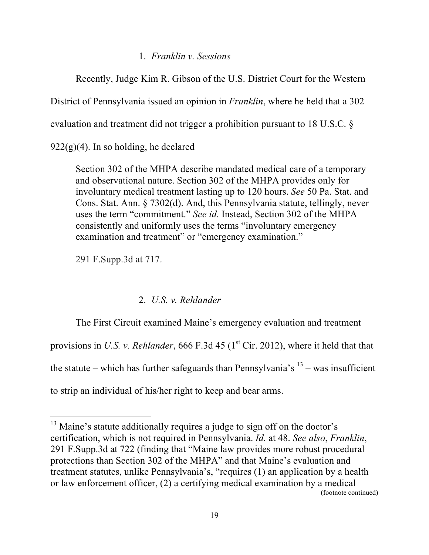#### 1. *Franklin v. Sessions*

Recently, Judge Kim R. Gibson of the U.S. District Court for the Western

District of Pennsylvania issued an opinion in *Franklin*, where he held that a 302

evaluation and treatment did not trigger a prohibition pursuant to 18 U.S.C. §

 $922(g)(4)$ . In so holding, he declared

Section 302 of the MHPA describe mandated medical care of a temporary and observational nature. Section 302 of the MHPA provides only for involuntary medical treatment lasting up to 120 hours. *See* 50 Pa. Stat. and Cons. Stat. Ann. § 7302(d). And, this Pennsylvania statute, tellingly, never uses the term "commitment." *See id.* Instead, Section 302 of the MHPA consistently and uniformly uses the terms "involuntary emergency examination and treatment" or "emergency examination."

291 F.Supp.3d at 717.

### 2. *U.S. v. Rehlander*

The First Circuit examined Maine's emergency evaluation and treatment provisions in *U.S. v. Rehlander*, 666 F.3d 45 ( $1<sup>st</sup>$  Cir. 2012), where it held that that the statute – which has further safeguards than Pennsylvania's  $13$  – was insufficient to strip an individual of his/her right to keep and bear arms.

<sup>&</sup>lt;sup>13</sup> Maine's statute additionally requires a judge to sign off on the doctor's certification, which is not required in Pennsylvania. *Id.* at 48. *See also*, *Franklin*, 291 F.Supp.3d at 722 (finding that "Maine law provides more robust procedural protections than Section 302 of the MHPA" and that Maine's evaluation and treatment statutes, unlike Pennsylvania's, "requires (1) an application by a health or law enforcement officer, (2) a certifying medical examination by a medical (footnote continued)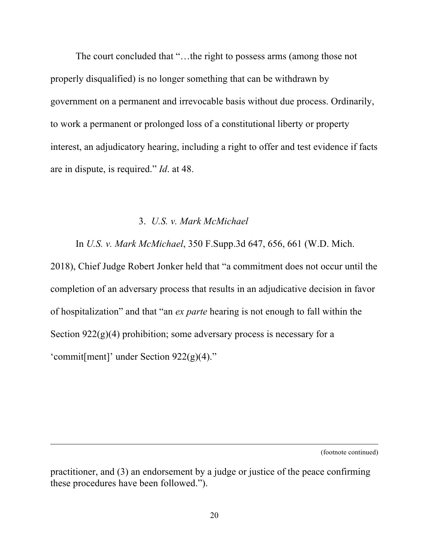The court concluded that "…the right to possess arms (among those not properly disqualified) is no longer something that can be withdrawn by government on a permanent and irrevocable basis without due process. Ordinarily, to work a permanent or prolonged loss of a constitutional liberty or property interest, an adjudicatory hearing, including a right to offer and test evidence if facts are in dispute, is required." *Id*. at 48.

#### 3. *U.S. v. Mark McMichael*

In *U.S. v. Mark McMichael*, 350 F.Supp.3d 647, 656, 661 (W.D. Mich.

2018), Chief Judge Robert Jonker held that "a commitment does not occur until the completion of an adversary process that results in an adjudicative decision in favor of hospitalization" and that "an *ex parte* hearing is not enough to fall within the Section  $922(g)(4)$  prohibition; some adversary process is necessary for a 'commit[ment]' under Section 922(g)(4)."

(footnote continued)

practitioner, and (3) an endorsement by a judge or justice of the peace confirming these procedures have been followed.").

 $\overline{a}$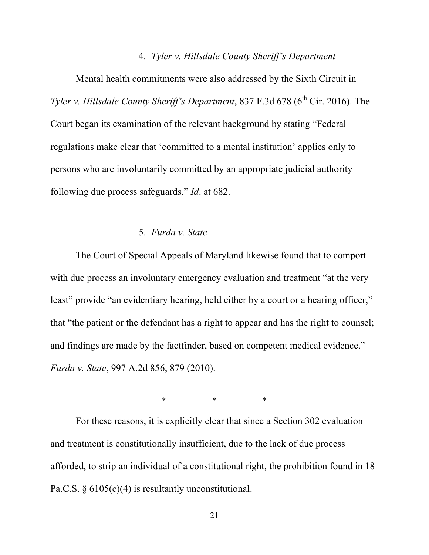#### 4. *Tyler v. Hillsdale County Sheriff's Department*

Mental health commitments were also addressed by the Sixth Circuit in *Tyler v. Hillsdale County Sheriff's Department*, 837 F.3d 678 (6<sup>th</sup> Cir. 2016). The Court began its examination of the relevant background by stating "Federal regulations make clear that 'committed to a mental institution' applies only to persons who are involuntarily committed by an appropriate judicial authority following due process safeguards." *Id*. at 682.

### 5. *Furda v. State*

The Court of Special Appeals of Maryland likewise found that to comport with due process an involuntary emergency evaluation and treatment "at the very least" provide "an evidentiary hearing, held either by a court or a hearing officer," that "the patient or the defendant has a right to appear and has the right to counsel; and findings are made by the factfinder, based on competent medical evidence." *Furda v. State*, 997 A.2d 856, 879 (2010).

\* \* \*

For these reasons, it is explicitly clear that since a Section 302 evaluation and treatment is constitutionally insufficient, due to the lack of due process afforded, to strip an individual of a constitutional right, the prohibition found in 18 Pa.C.S. § 6105(c)(4) is resultantly unconstitutional.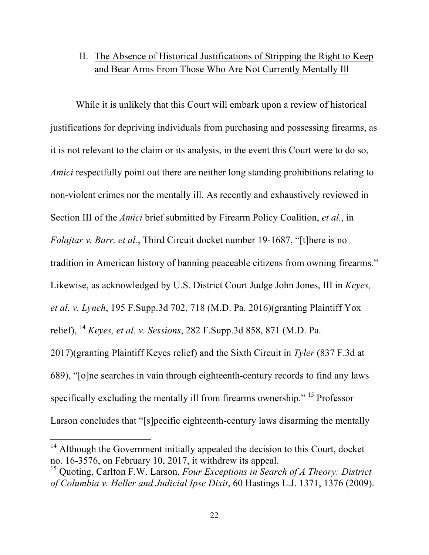## II. The Absence of Historical Justifications of Stripping the Right to Keep and Bear Arms From Those Who Are Not Currently Mentally Ill

While it is unlikely that this Court will embark upon a review of historical justifications for depriving individuals from purchasing and possessing firearms, as it is not relevant to the claim or its analysis, in the event this Court were to do so, *Amici* respectfully point out there are neither long standing prohibitions relating to non-violent crimes nor the mentally ill. As recently and exhaustively reviewed in Section III of the *Amici* brief submitted by Firearm Policy Coalition, *et al.*, in *Folajtar v. Barr, et al.*, Third Circuit docket number 19-1687, "[t]here is no tradition in American history of banning peaceable citizens from owning firearms." Likewise, as acknowledged by U.S. District Court Judge John Jones, III in *Keyes, et al. v. Lynch*, 195 F.Supp.3d 702, 718 (M.D. Pa. 2016)(granting Plaintiff Yox relief), <sup>14</sup> *Keyes, et al. v. Sessions*, 282 F.Supp.3d 858, 871 (M.D. Pa. 2017)(granting Plaintiff Keyes relief) and the Sixth Circuit in *Tyler* (837 F.3d at 689), "[o]ne searches in vain through eighteenth-century records to find any laws specifically excluding the mentally ill from firearms ownership." 15 Professor Larson concludes that "[s]pecific eighteenth-century laws disarming the mentally

 $14$  Although the Government initially appealed the decision to this Court, docket no. 16-3576, on February 10, 2017, it withdrew its appeal.

<sup>15</sup> Quoting, Carlton F.W. Larson, *Four Exceptions in Search of A Theory: District of Columbia v. Heller and Judicial Ipse Dixit*, 60 Hastings L.J. 1371, 1376 (2009).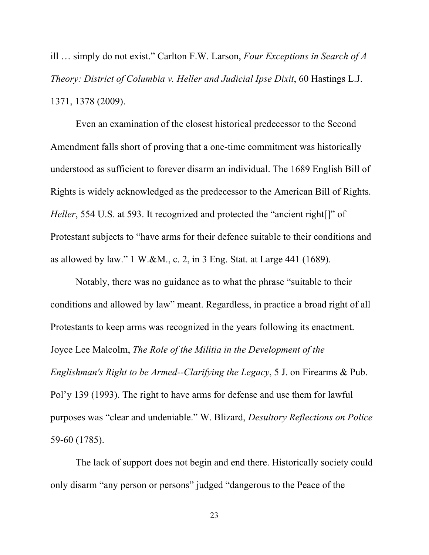ill … simply do not exist." Carlton F.W. Larson, *Four Exceptions in Search of A Theory: District of Columbia v. Heller and Judicial Ipse Dixit*, 60 Hastings L.J. 1371, 1378 (2009).

Even an examination of the closest historical predecessor to the Second Amendment falls short of proving that a one-time commitment was historically understood as sufficient to forever disarm an individual. The 1689 English Bill of Rights is widely acknowledged as the predecessor to the American Bill of Rights. *Heller*, 554 U.S. at 593. It recognized and protected the "ancient right[]" of Protestant subjects to "have arms for their defence suitable to their conditions and as allowed by law." 1 W.&M., c. 2, in 3 Eng. Stat. at Large 441 (1689).

Notably, there was no guidance as to what the phrase "suitable to their conditions and allowed by law" meant. Regardless, in practice a broad right of all Protestants to keep arms was recognized in the years following its enactment. Joyce Lee Malcolm, *The Role of the Militia in the Development of the Englishman's Right to be Armed--Clarifying the Legacy*, 5 J. on Firearms & Pub. Pol'y 139 (1993). The right to have arms for defense and use them for lawful purposes was "clear and undeniable." W. Blizard, *Desultory Reflections on Police* 59-60 (1785).

The lack of support does not begin and end there. Historically society could only disarm "any person or persons" judged "dangerous to the Peace of the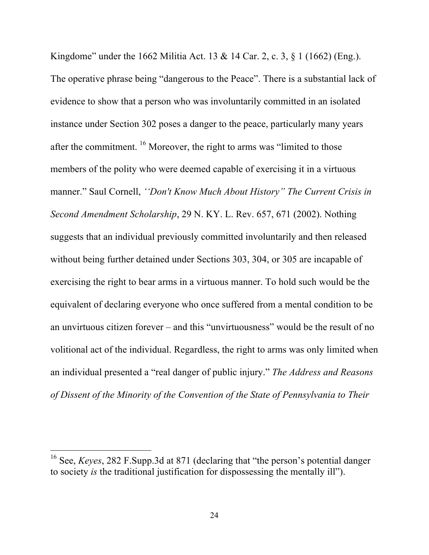Kingdome" under the 1662 Militia Act. 13 & 14 Car. 2, c. 3, § 1 (1662) (Eng.). The operative phrase being "dangerous to the Peace". There is a substantial lack of evidence to show that a person who was involuntarily committed in an isolated instance under Section 302 poses a danger to the peace, particularly many years after the commitment. <sup>16</sup> Moreover, the right to arms was "limited to those members of the polity who were deemed capable of exercising it in a virtuous manner." Saul Cornell, *''Don't Know Much About History" The Current Crisis in Second Amendment Scholarship*, 29 N. KY. L. Rev. 657, 671 (2002). Nothing suggests that an individual previously committed involuntarily and then released without being further detained under Sections 303, 304, or 305 are incapable of exercising the right to bear arms in a virtuous manner. To hold such would be the equivalent of declaring everyone who once suffered from a mental condition to be an unvirtuous citizen forever – and this "unvirtuousness" would be the result of no volitional act of the individual. Regardless, the right to arms was only limited when an individual presented a "real danger of public injury." *The Address and Reasons of Dissent of the Minority of the Convention of the State of Pennsylvania to Their* 

 <sup>16</sup> See, *Keyes*, 282 F.Supp.3d at 871 (declaring that "the person's potential danger to society *is* the traditional justification for dispossessing the mentally ill").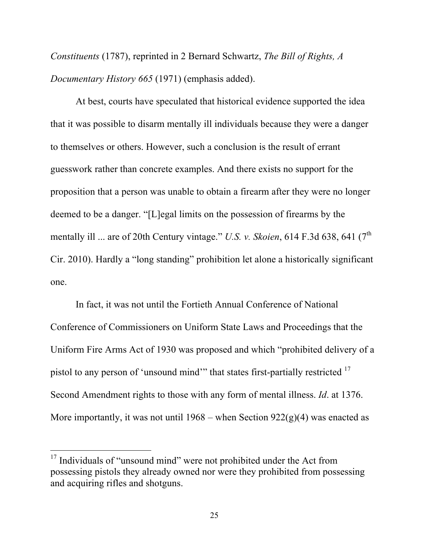*Constituents* (1787), reprinted in 2 Bernard Schwartz, *The Bill of Rights, A Documentary History 665* (1971) (emphasis added).

At best, courts have speculated that historical evidence supported the idea that it was possible to disarm mentally ill individuals because they were a danger to themselves or others. However, such a conclusion is the result of errant guesswork rather than concrete examples. And there exists no support for the proposition that a person was unable to obtain a firearm after they were no longer deemed to be a danger. "[L]egal limits on the possession of firearms by the mentally ill ... are of 20th Century vintage." *U.S. v. Skoien*, 614 F.3d 638, 641 (7<sup>th</sup>) Cir. 2010). Hardly a "long standing" prohibition let alone a historically significant one.

In fact, it was not until the Fortieth Annual Conference of National Conference of Commissioners on Uniform State Laws and Proceedings that the Uniform Fire Arms Act of 1930 was proposed and which "prohibited delivery of a pistol to any person of 'unsound mind'" that states first-partially restricted <sup>17</sup> Second Amendment rights to those with any form of mental illness. *Id*. at 1376. More importantly, it was not until  $1968$  – when Section  $922(g)(4)$  was enacted as

<sup>&</sup>lt;sup>17</sup> Individuals of "unsound mind" were not prohibited under the Act from possessing pistols they already owned nor were they prohibited from possessing and acquiring rifles and shotguns.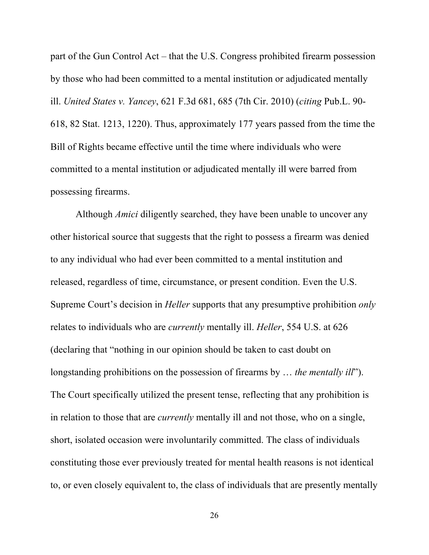part of the Gun Control Act – that the U.S. Congress prohibited firearm possession by those who had been committed to a mental institution or adjudicated mentally ill. *United States v. Yancey*, 621 F.3d 681, 685 (7th Cir. 2010) (*citing* Pub.L. 90- 618, 82 Stat. 1213, 1220). Thus, approximately 177 years passed from the time the Bill of Rights became effective until the time where individuals who were committed to a mental institution or adjudicated mentally ill were barred from possessing firearms.

Although *Amici* diligently searched, they have been unable to uncover any other historical source that suggests that the right to possess a firearm was denied to any individual who had ever been committed to a mental institution and released, regardless of time, circumstance, or present condition. Even the U.S. Supreme Court's decision in *Heller* supports that any presumptive prohibition *only* relates to individuals who are *currently* mentally ill. *Heller*, 554 U.S. at 626 (declaring that "nothing in our opinion should be taken to cast doubt on longstanding prohibitions on the possession of firearms by … *the mentally ill*"). The Court specifically utilized the present tense, reflecting that any prohibition is in relation to those that are *currently* mentally ill and not those, who on a single, short, isolated occasion were involuntarily committed. The class of individuals constituting those ever previously treated for mental health reasons is not identical to, or even closely equivalent to, the class of individuals that are presently mentally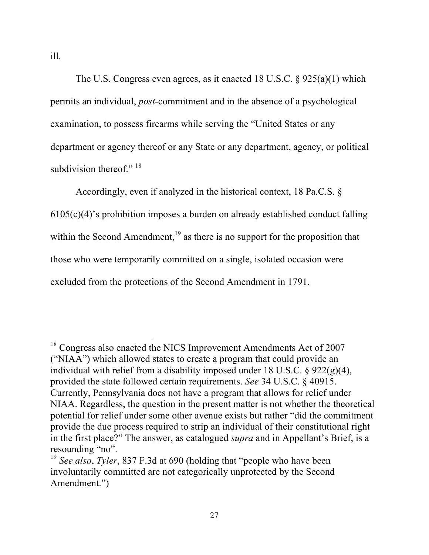ill.

The U.S. Congress even agrees, as it enacted 18 U.S.C. § 925(a)(1) which permits an individual, *post*-commitment and in the absence of a psychological examination, to possess firearms while serving the "United States or any department or agency thereof or any State or any department, agency, or political subdivision thereof."<sup>18</sup>

Accordingly, even if analyzed in the historical context, 18 Pa.C.S. §  $6105(c)(4)$ 's prohibition imposes a burden on already established conduct falling within the Second Amendment,  $19$  as there is no support for the proposition that those who were temporarily committed on a single, isolated occasion were excluded from the protections of the Second Amendment in 1791.

<sup>&</sup>lt;sup>18</sup> Congress also enacted the NICS Improvement Amendments Act of 2007 ("NIAA") which allowed states to create a program that could provide an individual with relief from a disability imposed under 18 U.S.C. § 922(g)(4), provided the state followed certain requirements. *See* 34 U.S.C. § 40915. Currently, Pennsylvania does not have a program that allows for relief under NIAA. Regardless, the question in the present matter is not whether the theoretical potential for relief under some other avenue exists but rather "did the commitment provide the due process required to strip an individual of their constitutional right in the first place?" The answer, as catalogued *supra* and in Appellant's Brief, is a resounding "no".

<sup>19</sup> *See also*, *Tyler*, 837 F.3d at 690 (holding that "people who have been involuntarily committed are not categorically unprotected by the Second Amendment.")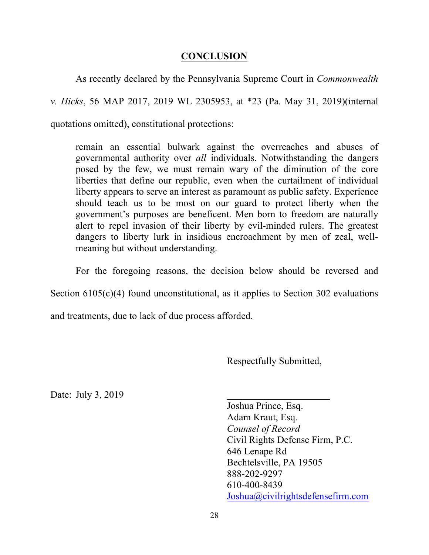#### **CONCLUSION**

As recently declared by the Pennsylvania Supreme Court in *Commonwealth v. Hicks*, 56 MAP 2017, 2019 WL 2305953, at \*23 (Pa. May 31, 2019)(internal quotations omitted), constitutional protections:

remain an essential bulwark against the overreaches and abuses of governmental authority over *all* individuals. Notwithstanding the dangers posed by the few, we must remain wary of the diminution of the core liberties that define our republic, even when the curtailment of individual liberty appears to serve an interest as paramount as public safety. Experience should teach us to be most on our guard to protect liberty when the government's purposes are beneficent. Men born to freedom are naturally alert to repel invasion of their liberty by evil-minded rulers. The greatest dangers to liberty lurk in insidious encroachment by men of zeal, wellmeaning but without understanding.

For the foregoing reasons, the decision below should be reversed and

Section 6105(c)(4) found unconstitutional, as it applies to Section 302 evaluations

and treatments, due to lack of due process afforded.

Respectfully Submitted,

Date: July 3,  $2019$ 

Joshua Prince, Esq. Adam Kraut, Esq. *Counsel of Record* Civil Rights Defense Firm, P.C. 646 Lenape Rd Bechtelsville, PA 19505 888-202-9297 610-400-8439 Joshua@civilrightsdefensefirm.com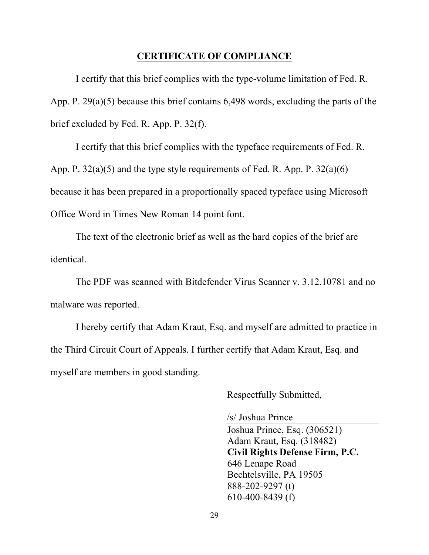#### **CERTIFICATE OF COMPLIANCE**

I certify that this brief complies with the type-volume limitation of Fed. R. App. P. 29(a)(5) because this brief contains 6,498 words, excluding the parts of the brief excluded by Fed. R. App. P. 32(f).

I certify that this brief complies with the typeface requirements of Fed. R. App. P.  $32(a)(5)$  and the type style requirements of Fed. R. App. P.  $32(a)(6)$ because it has been prepared in a proportionally spaced typeface using Microsoft Office Word in Times New Roman 14 point font.

The text of the electronic brief as well as the hard copies of the brief are identical.

The PDF was scanned with Bitdefender Virus Scanner v. 3.12.10781 and no malware was reported.

I hereby certify that Adam Kraut, Esq. and myself are admitted to practice in the Third Circuit Court of Appeals. I further certify that Adam Kraut, Esq. and myself are members in good standing.

Respectfully Submitted,

/s/ Joshua Prince

Joshua Prince, Esq. (306521) Adam Kraut, Esq. (318482) **Civil Rights Defense Firm, P.C.** 646 Lenape Road Bechtelsville, PA 19505 888-202-9297 (t) 610-400-8439 (f)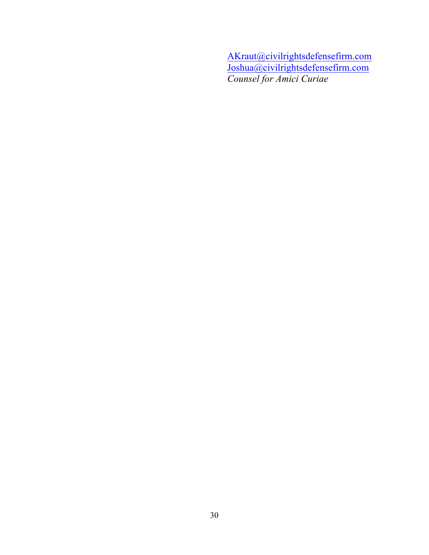AKraut@civilrightsdefensefirm.com Joshua@civilrightsdefensefirm.com *Counsel for Amici Curiae*